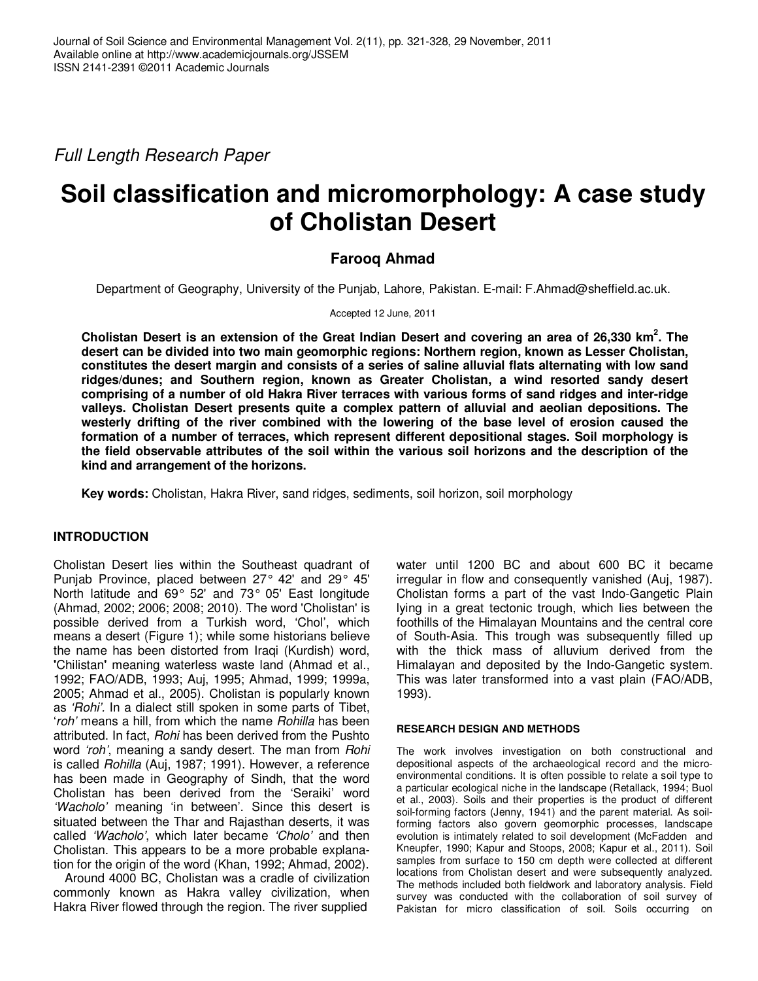Full Length Research Paper

# **Soil classification and micromorphology: A case study of Cholistan Desert**

## **Farooq Ahmad**

Department of Geography, University of the Punjab, Lahore, Pakistan. E-mail: F.Ahmad@sheffield.ac.uk.

Accepted 12 June, 2011

**Cholistan Desert is an extension of the Great Indian Desert and covering an area of 26,330 km<sup>2</sup> . The desert can be divided into two main geomorphic regions: Northern region, known as Lesser Cholistan, constitutes the desert margin and consists of a series of saline alluvial flats alternating with low sand ridges/dunes; and Southern region, known as Greater Cholistan, a wind resorted sandy desert comprising of a number of old Hakra River terraces with various forms of sand ridges and inter-ridge valleys. Cholistan Desert presents quite a complex pattern of alluvial and aeolian depositions. The westerly drifting of the river combined with the lowering of the base level of erosion caused the formation of a number of terraces, which represent different depositional stages. Soil morphology is the field observable attributes of the soil within the various soil horizons and the description of the kind and arrangement of the horizons.** 

**Key words:** Cholistan, Hakra River, sand ridges, sediments, soil horizon, soil morphology

## **INTRODUCTION**

Cholistan Desert lies within the Southeast quadrant of Punjab Province, placed between 27° 42' and 29° 45' North latitude and 69° 52' and 73° 05' East longitude (Ahmad, 2002; 2006; 2008; 2010). The word 'Cholistan' is possible derived from a Turkish word, 'Chol', which means a desert (Figure 1); while some historians believe the name has been distorted from Iraqi (Kurdish) word, **'**Chilistan**'** meaning waterless waste land (Ahmad et al., 1992; FAO/ADB, 1993; Auj, 1995; Ahmad, 1999; 1999a, 2005; Ahmad et al., 2005). Cholistan is popularly known as 'Rohi'. In a dialect still spoken in some parts of Tibet, 'roh' means a hill, from which the name Rohilla has been attributed. In fact, Rohi has been derived from the Pushto word 'roh', meaning a sandy desert. The man from Rohi is called Rohilla (Auj, 1987; 1991). However, a reference has been made in Geography of Sindh, that the word Cholistan has been derived from the 'Seraiki' word 'Wacholo' meaning 'in between'. Since this desert is situated between the Thar and Rajasthan deserts, it was called 'Wacholo', which later became 'Cholo' and then Cholistan. This appears to be a more probable explanation for the origin of the word (Khan, 1992; Ahmad, 2002).

Around 4000 BC, Cholistan was a cradle of civilization commonly known as Hakra valley civilization, when Hakra River flowed through the region. The river supplied

water until 1200 BC and about 600 BC it became irregular in flow and consequently vanished (Auj, 1987). Cholistan forms a part of the vast Indo-Gangetic Plain lying in a great tectonic trough, which lies between the foothills of the Himalayan Mountains and the central core of South-Asia. This trough was subsequently filled up with the thick mass of alluvium derived from the Himalayan and deposited by the Indo-Gangetic system. This was later transformed into a vast plain (FAO/ADB, 1993).

#### **RESEARCH DESIGN AND METHODS**

The work involves investigation on both constructional and depositional aspects of the archaeological record and the microenvironmental conditions. It is often possible to relate a soil type to a particular ecological niche in the landscape (Retallack, 1994; Buol et al., 2003). Soils and their properties is the product of different soil-forming factors (Jenny, 1941) and the parent material. As soilforming factors also govern geomorphic processes, landscape evolution is intimately related to soil development (McFadden and Kneupfer, 1990; Kapur and Stoops, 2008; Kapur et al., 2011). Soil samples from surface to 150 cm depth were collected at different locations from Cholistan desert and were subsequently analyzed. The methods included both fieldwork and laboratory analysis. Field survey was conducted with the collaboration of soil survey of Pakistan for micro classification of soil. Soils occurring on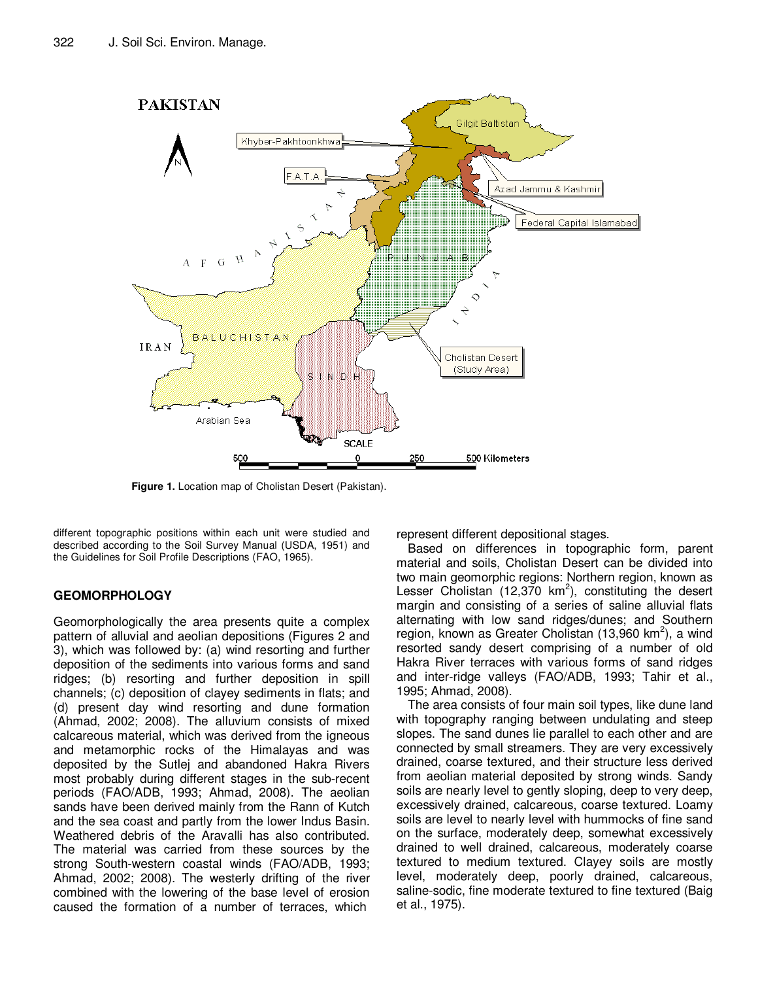

**Figure 1.** Location map of Cholistan Desert (Pakistan).

different topographic positions within each unit were studied and described according to the Soil Survey Manual (USDA, 1951) and the Guidelines for Soil Profile Descriptions (FAO, 1965).

## **GEOMORPHOLOGY**

Geomorphologically the area presents quite a complex pattern of alluvial and aeolian depositions (Figures 2 and 3), which was followed by: (a) wind resorting and further deposition of the sediments into various forms and sand ridges; (b) resorting and further deposition in spill channels; (c) deposition of clayey sediments in flats; and (d) present day wind resorting and dune formation (Ahmad, 2002; 2008). The alluvium consists of mixed calcareous material, which was derived from the igneous and metamorphic rocks of the Himalayas and was deposited by the Sutlej and abandoned Hakra Rivers most probably during different stages in the sub-recent periods (FAO/ADB, 1993; Ahmad, 2008). The aeolian sands have been derived mainly from the Rann of Kutch and the sea coast and partly from the lower Indus Basin. Weathered debris of the Aravalli has also contributed. The material was carried from these sources by the strong South-western coastal winds (FAO/ADB, 1993; Ahmad, 2002; 2008). The westerly drifting of the river combined with the lowering of the base level of erosion caused the formation of a number of terraces, which

represent different depositional stages.

Based on differences in topographic form, parent material and soils, Cholistan Desert can be divided into two main geomorphic regions: Northern region, known as Lesser Cholistan (12,370  $km^2$ ), constituting the desert margin and consisting of a series of saline alluvial flats alternating with low sand ridges/dunes; and Southern region, known as Greater Cholistan (13,960 km<sup>2</sup>), a wind resorted sandy desert comprising of a number of old Hakra River terraces with various forms of sand ridges and inter-ridge valleys (FAO/ADB, 1993; Tahir et al., 1995; Ahmad, 2008).

The area consists of four main soil types, like dune land with topography ranging between undulating and steep slopes. The sand dunes lie parallel to each other and are connected by small streamers. They are very excessively drained, coarse textured, and their structure less derived from aeolian material deposited by strong winds. Sandy soils are nearly level to gently sloping, deep to very deep, excessively drained, calcareous, coarse textured. Loamy soils are level to nearly level with hummocks of fine sand on the surface, moderately deep, somewhat excessively drained to well drained, calcareous, moderately coarse textured to medium textured. Clayey soils are mostly level, moderately deep, poorly drained, calcareous, saline-sodic, fine moderate textured to fine textured (Baig et al., 1975).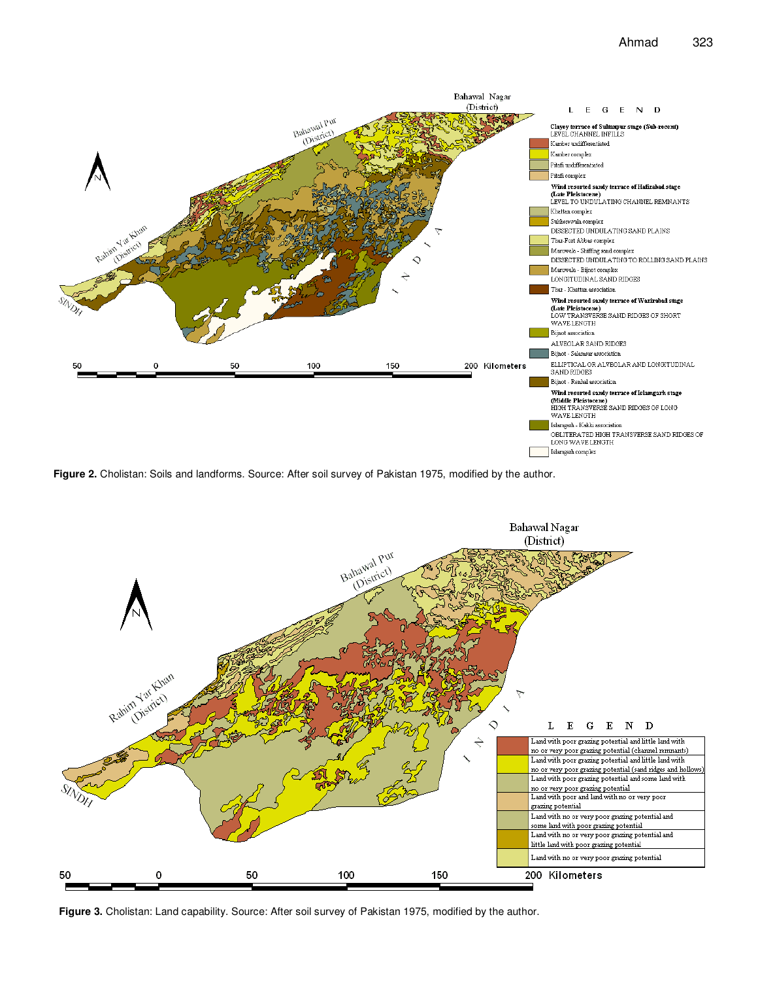

**Figure 2.** Cholistan: Soils and landforms. Source: After soil survey of Pakistan 1975, modified by the author.



**Figure 3.** Cholistan: Land capability. Source: After soil survey of Pakistan 1975, modified by the author.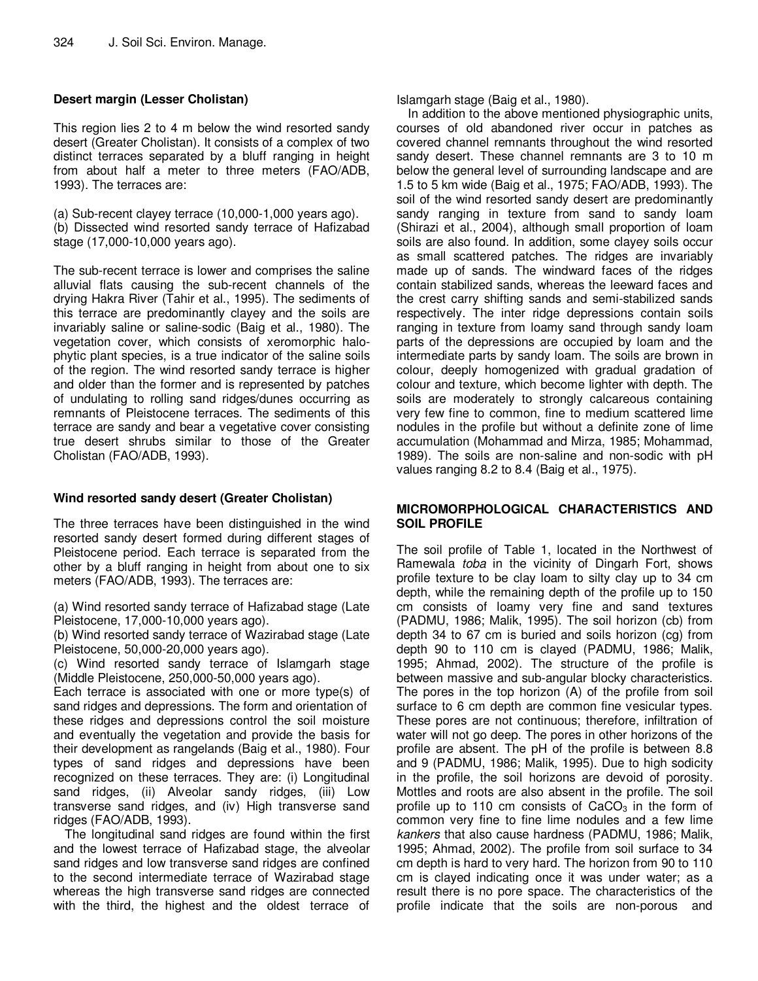## **Desert margin (Lesser Cholistan)**

This region lies 2 to 4 m below the wind resorted sandy desert (Greater Cholistan). It consists of a complex of two distinct terraces separated by a bluff ranging in height from about half a meter to three meters (FAO/ADB, 1993). The terraces are:

(a) Sub-recent clayey terrace (10,000-1,000 years ago). (b) Dissected wind resorted sandy terrace of Hafizabad stage (17,000-10,000 years ago).

The sub-recent terrace is lower and comprises the saline alluvial flats causing the sub-recent channels of the drying Hakra River (Tahir et al., 1995). The sediments of this terrace are predominantly clayey and the soils are invariably saline or saline-sodic (Baig et al., 1980). The vegetation cover, which consists of xeromorphic halophytic plant species, is a true indicator of the saline soils of the region. The wind resorted sandy terrace is higher and older than the former and is represented by patches of undulating to rolling sand ridges/dunes occurring as remnants of Pleistocene terraces. The sediments of this terrace are sandy and bear a vegetative cover consisting true desert shrubs similar to those of the Greater Cholistan (FAO/ADB, 1993).

### **Wind resorted sandy desert (Greater Cholistan)**

The three terraces have been distinguished in the wind resorted sandy desert formed during different stages of Pleistocene period. Each terrace is separated from the other by a bluff ranging in height from about one to six meters (FAO/ADB, 1993). The terraces are:

(a) Wind resorted sandy terrace of Hafizabad stage (Late Pleistocene, 17,000-10,000 years ago).

(b) Wind resorted sandy terrace of Wazirabad stage (Late Pleistocene, 50,000-20,000 years ago).

(c) Wind resorted sandy terrace of Islamgarh stage (Middle Pleistocene, 250,000-50,000 years ago).

Each terrace is associated with one or more type(s) of sand ridges and depressions. The form and orientation of these ridges and depressions control the soil moisture and eventually the vegetation and provide the basis for their development as rangelands (Baig et al., 1980). Four types of sand ridges and depressions have been recognized on these terraces. They are: (i) Longitudinal sand ridges, (ii) Alveolar sandy ridges, (iii) Low transverse sand ridges, and (iv) High transverse sand ridges (FAO/ADB, 1993).

The longitudinal sand ridges are found within the first and the lowest terrace of Hafizabad stage, the alveolar sand ridges and low transverse sand ridges are confined to the second intermediate terrace of Wazirabad stage whereas the high transverse sand ridges are connected with the third, the highest and the oldest terrace of Islamgarh stage (Baig et al., 1980).

In addition to the above mentioned physiographic units, courses of old abandoned river occur in patches as covered channel remnants throughout the wind resorted sandy desert. These channel remnants are 3 to 10 m below the general level of surrounding landscape and are 1.5 to 5 km wide (Baig et al., 1975; FAO/ADB, 1993). The soil of the wind resorted sandy desert are predominantly sandy ranging in texture from sand to sandy loam (Shirazi et al., 2004), although small proportion of loam soils are also found. In addition, some clayey soils occur as small scattered patches. The ridges are invariably made up of sands. The windward faces of the ridges contain stabilized sands, whereas the leeward faces and the crest carry shifting sands and semi-stabilized sands respectively. The inter ridge depressions contain soils ranging in texture from loamy sand through sandy loam parts of the depressions are occupied by loam and the intermediate parts by sandy loam. The soils are brown in colour, deeply homogenized with gradual gradation of colour and texture, which become lighter with depth. The soils are moderately to strongly calcareous containing very few fine to common, fine to medium scattered lime nodules in the profile but without a definite zone of lime accumulation (Mohammad and Mirza, 1985; Mohammad, 1989). The soils are non-saline and non-sodic with pH values ranging 8.2 to 8.4 (Baig et al., 1975).

#### **MICROMORPHOLOGICAL CHARACTERISTICS AND SOIL PROFILE**

The soil profile of Table 1, located in the Northwest of Ramewala toba in the vicinity of Dingarh Fort, shows profile texture to be clay loam to silty clay up to 34 cm depth, while the remaining depth of the profile up to 150 cm consists of loamy very fine and sand textures (PADMU, 1986; Malik, 1995). The soil horizon (cb) from depth 34 to 67 cm is buried and soils horizon (cg) from depth 90 to 110 cm is clayed (PADMU, 1986; Malik, 1995; Ahmad, 2002). The structure of the profile is between massive and sub-angular blocky characteristics. The pores in the top horizon (A) of the profile from soil surface to 6 cm depth are common fine vesicular types. These pores are not continuous; therefore, infiltration of water will not go deep. The pores in other horizons of the profile are absent. The pH of the profile is between 8.8 and 9 (PADMU, 1986; Malik, 1995). Due to high sodicity in the profile, the soil horizons are devoid of porosity. Mottles and roots are also absent in the profile. The soil profile up to 110 cm consists of  $CaCO<sub>3</sub>$  in the form of common very fine to fine lime nodules and a few lime kankers that also cause hardness (PADMU, 1986; Malik, 1995; Ahmad, 2002). The profile from soil surface to 34 cm depth is hard to very hard. The horizon from 90 to 110 cm is clayed indicating once it was under water; as a result there is no pore space. The characteristics of the profile indicate that the soils are non-porous and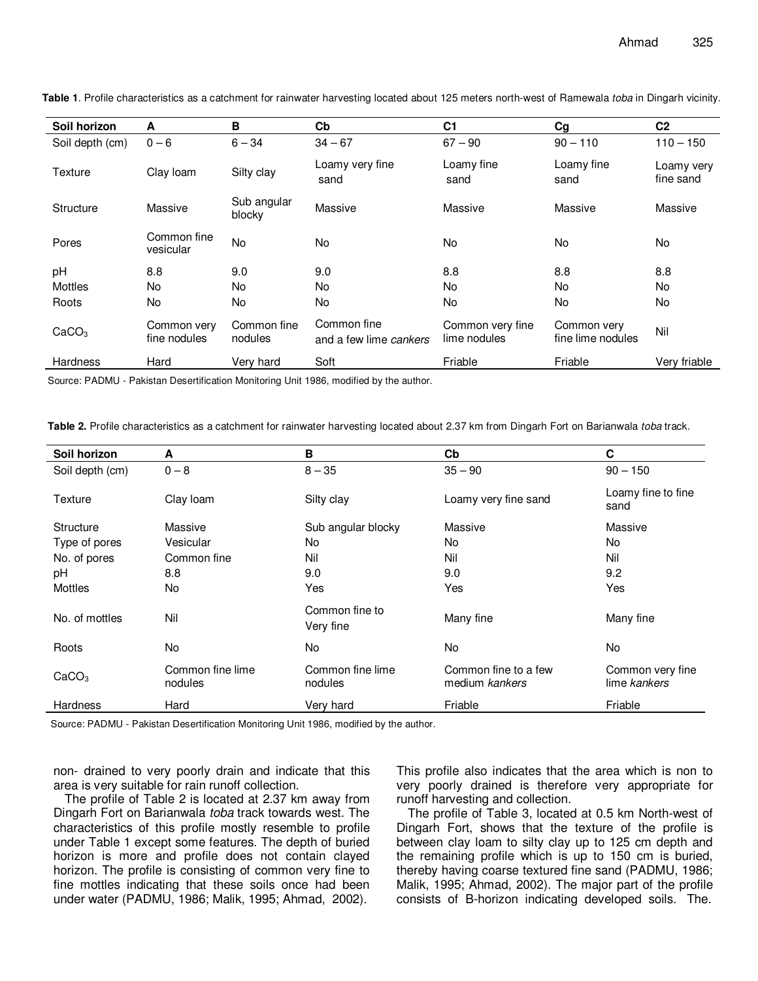| Soil horizon      | A                           | B                      | Cb                                    | C <sub>1</sub>                   | Cg                               | C <sub>2</sub>          |
|-------------------|-----------------------------|------------------------|---------------------------------------|----------------------------------|----------------------------------|-------------------------|
| Soil depth (cm)   | $0 - 6$                     | $6 - 34$               | $34 - 67$                             | $67 - 90$                        | $90 - 110$                       | $110 - 150$             |
| Texture           | Clay Ioam                   | Silty clay             | Loamy very fine<br>sand               | Loamy fine<br>sand               | Loamy fine<br>sand               | Loamy very<br>fine sand |
| Structure         | Massive                     | Sub angular<br>blocky  | Massive                               | Massive                          | Massive                          | Massive                 |
| Pores             | Common fine<br>vesicular    | <b>No</b>              | <b>No</b>                             | <b>No</b>                        | No.                              | <b>No</b>               |
| pH                | 8.8                         | 9.0                    | 9.0                                   | 8.8                              | 8.8                              | 8.8                     |
| <b>Mottles</b>    | No                          | No.                    | <b>No</b>                             | <b>No</b>                        | <b>No</b>                        | No                      |
| Roots             | No.                         | No.                    | No.                                   | <b>No</b>                        | No.                              | No                      |
| CaCO <sub>3</sub> | Common very<br>fine nodules | Common fine<br>nodules | Common fine<br>and a few lime cankers | Common very fine<br>lime nodules | Common very<br>fine lime nodules | Nil                     |
| <b>Hardness</b>   | Hard                        | Very hard              | Soft                                  | Friable                          | Friable                          | Very friable            |
|                   |                             |                        |                                       |                                  |                                  |                         |

**Table 1**. Profile characteristics as a catchment for rainwater harvesting located about 125 meters north-west of Ramewala toba in Dingarh vicinity.

Source: PADMU - Pakistan Desertification Monitoring Unit 1986, modified by the author.

**Table 2.** Profile characteristics as a catchment for rainwater harvesting located about 2.37 km from Dingarh Fort on Barianwala toba track.

| Soil horizon      | A                           | B                           | $\mathbf{C}$                           | C                                |
|-------------------|-----------------------------|-----------------------------|----------------------------------------|----------------------------------|
| Soil depth (cm)   | $0 - 8$                     | $8 - 35$                    | $35 - 90$                              | $90 - 150$                       |
| Texture           | Clay Ioam                   | Silty clay                  | Loamy very fine sand                   | Loamy fine to fine<br>sand       |
| Structure         | Massive                     | Sub angular blocky          | Massive                                | Massive                          |
| Type of pores     | Vesicular                   | No                          | No                                     | No                               |
| No. of pores      | Common fine                 | Nil                         | Nil                                    | Nil                              |
| pH                | 8.8                         | 9.0                         | 9.0                                    | 9.2                              |
| <b>Mottles</b>    | No.                         | Yes                         | Yes                                    | Yes                              |
| No. of mottles    | Nil                         | Common fine to<br>Very fine | Many fine                              | Many fine                        |
| Roots             | No                          | No                          | No                                     | No                               |
| CaCO <sub>3</sub> | Common fine lime<br>nodules | Common fine lime<br>nodules | Common fine to a few<br>medium kankers | Common very fine<br>lime kankers |
| <b>Hardness</b>   | Hard                        | Very hard                   | Friable                                | Friable                          |

Source: PADMU - Pakistan Desertification Monitoring Unit 1986, modified by the author.

non- drained to very poorly drain and indicate that this area is very suitable for rain runoff collection.

The profile of Table 2 is located at 2.37 km away from Dingarh Fort on Barianwala toba track towards west. The characteristics of this profile mostly resemble to profile under Table 1 except some features. The depth of buried horizon is more and profile does not contain clayed horizon. The profile is consisting of common very fine to fine mottles indicating that these soils once had been under water (PADMU, 1986; Malik, 1995; Ahmad, 2002).

This profile also indicates that the area which is non to very poorly drained is therefore very appropriate for runoff harvesting and collection.

The profile of Table 3, located at 0.5 km North-west of Dingarh Fort, shows that the texture of the profile is between clay loam to silty clay up to 125 cm depth and the remaining profile which is up to 150 cm is buried, thereby having coarse textured fine sand (PADMU, 1986; Malik, 1995; Ahmad, 2002). The major part of the profile consists of B-horizon indicating developed soils. The.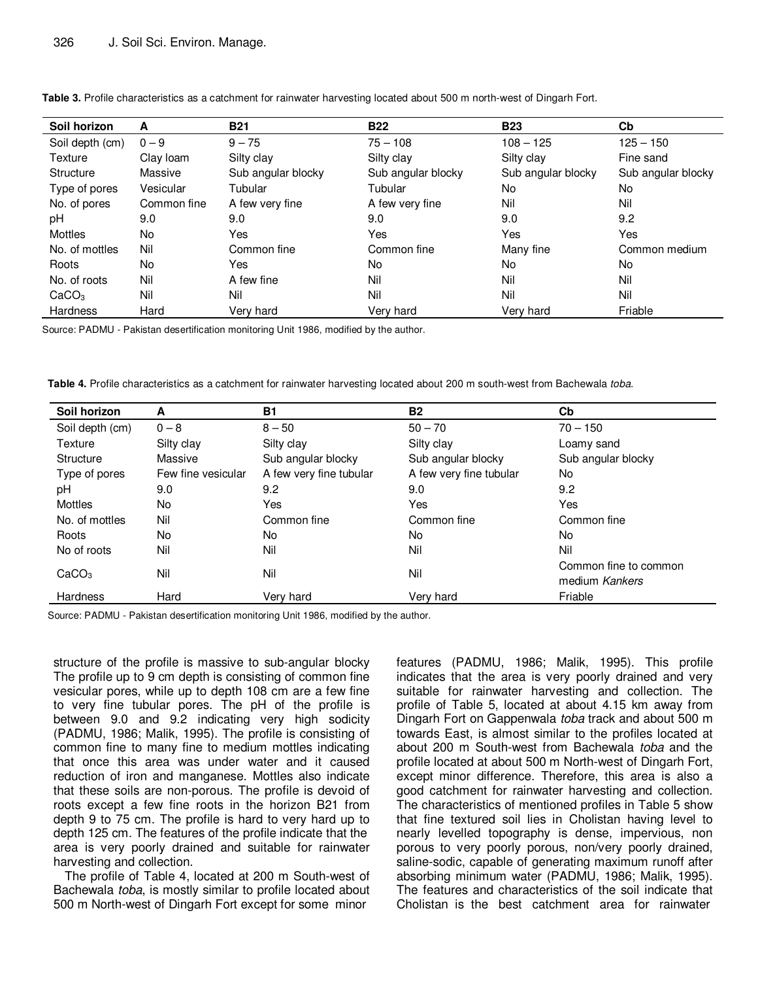| Soil horizon      | A           | <b>B21</b>         | <b>B22</b>         | <b>B23</b>         | Cb                 |
|-------------------|-------------|--------------------|--------------------|--------------------|--------------------|
| Soil depth (cm)   | $0 - 9$     | $9 - 75$           | $75 - 108$         | $108 - 125$        | $125 - 150$        |
| Texture           | Clay Ioam   | Silty clay         | Silty clay         | Silty clay         | Fine sand          |
| Structure         | Massive     | Sub angular blocky | Sub angular blocky | Sub angular blocky | Sub angular blocky |
| Type of pores     | Vesicular   | Tubular            | Tubular            | No.                | No                 |
| No. of pores      | Common fine | A few very fine    | A few very fine    | Nil                | Nil                |
| pH                | 9.0         | 9.0                | 9.0                | 9.0                | 9.2                |
| Mottles           | No.         | Yes                | Yes                | Yes                | Yes                |
| No. of mottles    | Nil         | Common fine        | Common fine        | Many fine          | Common medium      |
| Roots             | No.         | Yes                | No                 | No.                | No.                |
| No. of roots      | Nil         | A few fine         | Nil                | Nil                | Nil                |
| CaCO <sub>3</sub> | Nil         | Nil                | Nil                | Nil                | Nil                |
| Hardness          | Hard        | Verv hard          | Very hard          | Verv hard          | Friable            |

Source: PADMU - Pakistan desertification monitoring Unit 1986, modified by the author.

**Table 4.** Profile characteristics as a catchment for rainwater harvesting located about 200 m south-west from Bachewala toba.

| Soil horizon      | A                  | <b>B1</b>               | <b>B2</b>               | Cb                                      |
|-------------------|--------------------|-------------------------|-------------------------|-----------------------------------------|
| Soil depth (cm)   | $0 - 8$            | $8 - 50$                | $50 - 70$               | $70 - 150$                              |
| Texture           | Silty clay         | Silty clay              | Silty clay              | Loamy sand                              |
| <b>Structure</b>  | Massive            | Sub angular blocky      | Sub angular blocky      | Sub angular blocky                      |
| Type of pores     | Few fine vesicular | A few very fine tubular | A few very fine tubular | No.                                     |
| рH                | 9.0                | 9.2                     | 9.0                     | 9.2                                     |
| Mottles           | No.                | Yes                     | Yes                     | Yes                                     |
| No. of mottles    | Nil                | Common fine             | Common fine             | Common fine                             |
| Roots             | No.                | No                      | No                      | No.                                     |
| No of roots       | Nil                | Nil                     | Nil                     | Nil                                     |
| CaCO <sub>3</sub> | Nil                | Nil                     | Nil                     | Common fine to common<br>medium Kankers |
| <b>Hardness</b>   | Hard               | Very hard               | Very hard               | Friable                                 |

Source: PADMU - Pakistan desertification monitoring Unit 1986, modified by the author.

structure of the profile is massive to sub-angular blocky The profile up to 9 cm depth is consisting of common fine vesicular pores, while up to depth 108 cm are a few fine to very fine tubular pores. The pH of the profile is between 9.0 and 9.2 indicating very high sodicity (PADMU, 1986; Malik, 1995). The profile is consisting of common fine to many fine to medium mottles indicating that once this area was under water and it caused reduction of iron and manganese. Mottles also indicate that these soils are non-porous. The profile is devoid of roots except a few fine roots in the horizon B21 from depth 9 to 75 cm. The profile is hard to very hard up to depth 125 cm. The features of the profile indicate that the area is very poorly drained and suitable for rainwater harvesting and collection.

The profile of Table 4, located at 200 m South-west of Bachewala toba, is mostly similar to profile located about 500 m North-west of Dingarh Fort except for some minor

features (PADMU, 1986; Malik, 1995). This profile indicates that the area is very poorly drained and very suitable for rainwater harvesting and collection. The profile of Table 5, located at about 4.15 km away from Dingarh Fort on Gappenwala toba track and about 500 m towards East, is almost similar to the profiles located at about 200 m South-west from Bachewala toba and the profile located at about 500 m North-west of Dingarh Fort, except minor difference. Therefore, this area is also a good catchment for rainwater harvesting and collection. The characteristics of mentioned profiles in Table 5 show that fine textured soil lies in Cholistan having level to nearly levelled topography is dense, impervious, non porous to very poorly porous, non/very poorly drained, saline-sodic, capable of generating maximum runoff after absorbing minimum water (PADMU, 1986; Malik, 1995). The features and characteristics of the soil indicate that Cholistan is the best catchment area for rainwater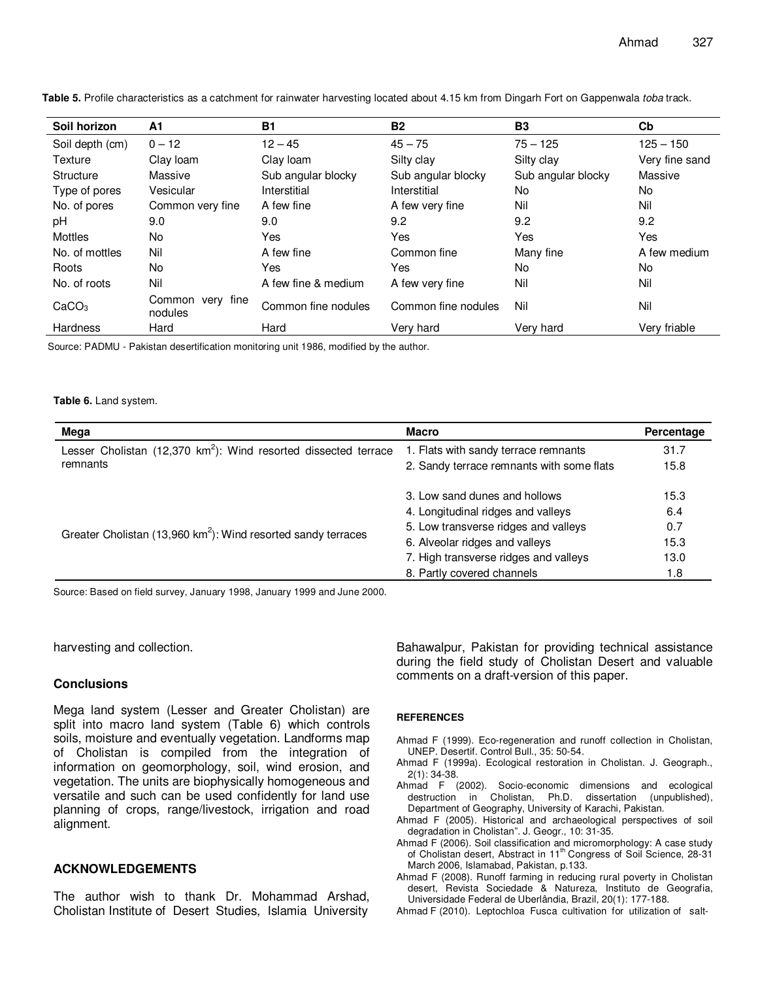| Soil horizon      | A1                          | <b>B1</b>           | <b>B2</b>           | <b>B3</b>          | Cb             |
|-------------------|-----------------------------|---------------------|---------------------|--------------------|----------------|
| Soil depth (cm)   | $0 - 12$                    | $12 - 45$           | $45 - 75$           | $75 - 125$         | $125 - 150$    |
| Texture           | Clay loam                   | Clay Ioam           | Silty clay          | Silty clay         | Very fine sand |
| Structure         | Massive                     | Sub angular blocky  | Sub angular blocky  | Sub angular blocky | Massive        |
| Type of pores     | Vesicular                   | Interstitial        | Interstitial        | No.                | No.            |
| No. of pores      | Common very fine            | A few fine          | A few very fine     | Nil                | Nil            |
| pH                | 9.0                         | 9.0                 | 9.2                 | 9.2                | 9.2            |
| Mottles           | No.                         | Yes                 | <b>Yes</b>          | Yes                | Yes            |
| No. of mottles    | Nil                         | A few fine          | Common fine         | Many fine          | A few medium   |
| Roots             | No.                         | Yes                 | Yes                 | N <sub>o</sub>     | No.            |
| No. of roots      | Nil                         | A few fine & medium | A few very fine     | Nil                | Nil            |
| CaCO <sub>3</sub> | Common very fine<br>nodules | Common fine nodules | Common fine nodules | Nil                | Nil            |
| <b>Hardness</b>   | Hard                        | Hard                | Very hard           | Very hard          | Very friable   |

**Table 5.** Profile characteristics as a catchment for rainwater harvesting located about 4.15 km from Dingarh Fort on Gappenwala toba track.

Source: PADMU - Pakistan desertification monitoring unit 1986, modified by the author.

#### **Table 6.** Land system.

| Mega                                                                      | <b>Macro</b>                              | Percentage |
|---------------------------------------------------------------------------|-------------------------------------------|------------|
| Lesser Cholistan (12,370 $km^2$ ): Wind resorted dissected terrace        | 1. Flats with sandy terrace remnants      | 31.7       |
| remnants                                                                  | 2. Sandy terrace remnants with some flats | 15.8       |
|                                                                           | 3. Low sand dunes and hollows             | 15.3       |
|                                                                           | 4. Longitudinal ridges and valleys        | 6.4        |
| Greater Cholistan (13,960 km <sup>2</sup> ): Wind resorted sandy terraces | 5. Low transverse ridges and valleys      | 0.7        |
|                                                                           | 6. Alveolar ridges and valleys            | 15.3       |
|                                                                           | 7. High transverse ridges and valleys     | 13.0       |
|                                                                           | 8. Partly covered channels                | 1.8        |

Source: Based on field survey, January 1998, January 1999 and June 2000.

harvesting and collection.

#### **Conclusions**

Mega land system (Lesser and Greater Cholistan) are split into macro land system (Table 6) which controls soils, moisture and eventually vegetation. Landforms map of Cholistan is compiled from the integration of information on geomorphology, soil, wind erosion, and vegetation. The units are biophysically homogeneous and versatile and such can be used confidently for land use planning of crops, range/livestock, irrigation and road alignment.

#### **ACKNOWLEDGEMENTS**

The author wish to thank Dr. Mohammad Arshad, Cholistan Institute of Desert Studies, Islamia University

Bahawalpur, Pakistan for providing technical assistance during the field study of Cholistan Desert and valuable comments on a draft-version of this paper.

#### **REFERENCES**

- Ahmad F (1999). Eco-regeneration and runoff collection in Cholistan, UNEP. Desertif. Control Bull., 35: 50-54.
- Ahmad F (1999a). Ecological restoration in Cholistan. J. Geograph., 2(1): 34-38.
- Ahmad F (2002). Socio-economic dimensions and ecological destruction in Cholistan, Ph.D. dissertation (unpublished), Department of Geography, University of Karachi, Pakistan.
- Ahmad F (2005). Historical and archaeological perspectives of soil degradation in Cholistan". J. Geogr., 10: 31-35.
- Ahmad F (2006). Soil classification and micromorphology: A case study of Cholistan desert, Abstract in 11<sup>th</sup> Congress of Soil Science, 28-31 March 2006, Islamabad, Pakistan, p.133.
- Ahmad F (2008). Runoff farming in reducing rural poverty in Cholistan desert, Revista Sociedade & Natureza, Instituto de Geografia, Universidade Federal de Uberlândia, Brazil, 20(1): 177-188.
- Ahmad F (2010). Leptochloa Fusca cultivation for utilization of salt-